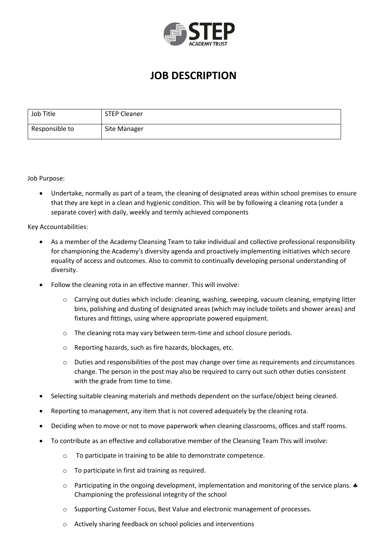

# **JOB DESCRIPTION**

| Job Title      | <b>STEP Cleaner</b> |
|----------------|---------------------|
| Responsible to | Site Manager        |

Job Purpose:

 Undertake, normally as part of a team, the cleaning of designated areas within school premises to ensure that they are kept in a clean and hygienic condition. This will be by following a cleaning rota (under a separate cover) with daily, weekly and termly achieved components

Key Accountabilities:

- As a member of the Academy Cleansing Team to take individual and collective professional responsibility for championing the Academy's diversity agenda and proactively implementing initiatives which secure equality of access and outcomes. Also to commit to continually developing personal understanding of diversity.
- Follow the cleaning rota in an effective manner. This will involve:
	- o Carrying out duties which include: cleaning, washing, sweeping, vacuum cleaning, emptying litter bins, polishing and dusting of designated areas (which may include toilets and shower areas) and fixtures and fittings, using where appropriate powered equipment.
	- o The cleaning rota may vary between term-time and school closure periods.
	- o Reporting hazards, such as fire hazards, blockages, etc.
	- o Duties and responsibilities of the post may change over time as requirements and circumstances change. The person in the post may also be required to carry out such other duties consistent with the grade from time to time.
- Selecting suitable cleaning materials and methods dependent on the surface/object being cleaned.
- Reporting to management, any item that is not covered adequately by the cleaning rota.
- Deciding when to move or not to move paperwork when cleaning classrooms, offices and staff rooms.
- To contribute as an effective and collaborative member of the Cleansing Team This will involve:
	- o To participate in training to be able to demonstrate competence.
	- o To participate in first aid training as required.
	- $\circ$  Participating in the ongoing development, implementation and monitoring of the service plans. Championing the professional integrity of the school
	- o Supporting Customer Focus, Best Value and electronic management of processes.
	- o Actively sharing feedback on school policies and interventions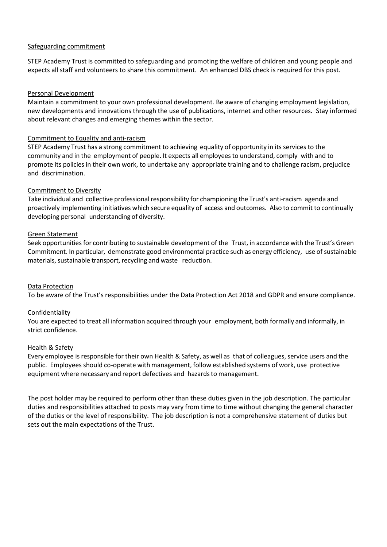#### Safeguarding commitment

STEP Academy Trust is committed to safeguarding and promoting the welfare of children and young people and expects all staff and volunteers to share this commitment. An enhanced DBS check is required for this post.

# Personal Development

Maintain a commitment to your own professional development. Be aware of changing employment legislation, new developments and innovations through the use of publications, internet and other resources. Stay informed about relevant changes and emerging themes within the sector.

# Commitment to Equality and anti-racism

STEP Academy Trust has a strong commitment to achieving equality of opportunity in its services to the community and in the employment of people. It expects all employeesto understand, comply with and to promote its policies in their own work, to undertake any appropriate training and to challenge racism, prejudice and discrimination.

# Commitment to Diversity

Take individual and collective professional responsibility for championing the Trust's anti-racism agenda and proactively implementing initiatives which secure equality of access and outcomes. Also to commit to continually developing personal understanding of diversity.

# Green Statement

Seek opportunities for contributing to sustainable development of the Trust, in accordance with the Trust's Green Commitment. In particular, demonstrate good environmental practice such as energy efficiency, use of sustainable materials, sustainable transport, recycling and waste reduction.

#### Data Protection

To be aware of the Trust's responsibilities under the Data Protection Act 2018 and GDPR and ensure compliance.

#### Confidentiality

You are expected to treat all information acquired through your employment, both formally and informally, in strict confidence.

#### Health & Safety

Every employee is responsible for their own Health & Safety, as well as that of colleagues, service users and the public. Employees should co-operate with management, follow established systems of work, use protective equipment where necessary and report defectives and hazards to management.

The post holder may be required to perform other than these duties given in the job description. The particular duties and responsibilities attached to posts may vary from time to time without changing the general character of the duties or the level of responsibility. The job description is not a comprehensive statement of duties but sets out the main expectations of the Trust.